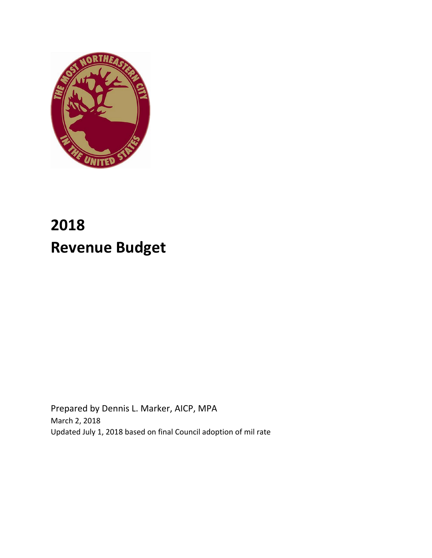

Prepared by Dennis L. Marker, AICP, MPA March 2, 2018 Updated July 1, 2018 based on final Council adoption of mil rate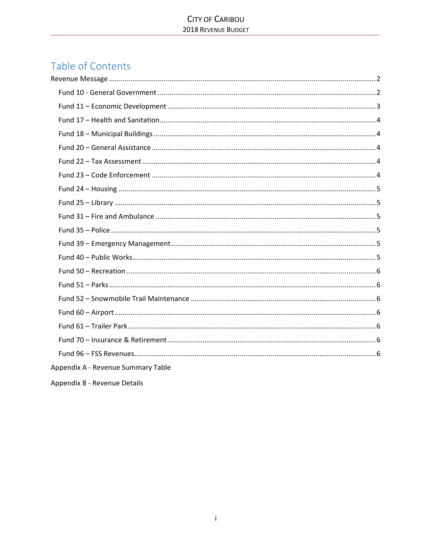# Table of Contents

Appendix B - Revenue Details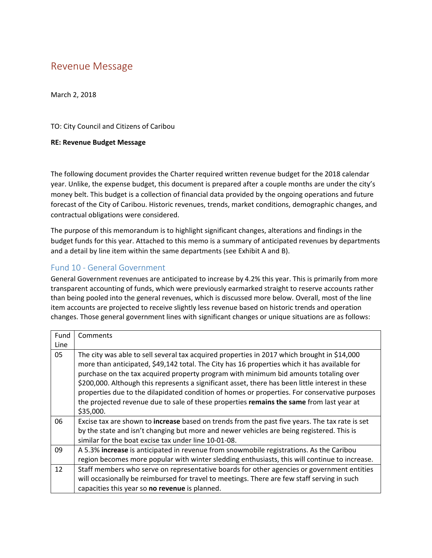# Revenue Message

March 2, 2018

TO: City Council and Citizens of Caribou

#### **RE: Revenue Budget Message**

The following document provides the Charter required written revenue budget for the 2018 calendar year. Unlike, the expense budget, this document is prepared after a couple months are under the city's money belt. This budget is a collection of financial data provided by the ongoing operations and future forecast of the City of Caribou. Historic revenues, trends, market conditions, demographic changes, and contractual obligations were considered.

The purpose of this memorandum is to highlight significant changes, alterations and findings in the budget funds for this year. Attached to this memo is a summary of anticipated revenues by departments and a detail by line item within the same departments (see Exhibit A and B).

# Fund 10 - General Government

General Government revenues are anticipated to increase by 4.2% this year. This is primarily from more transparent accounting of funds, which were previously earmarked straight to reserve accounts rather than being pooled into the general revenues, which is discussed more below. Overall, most of the line item accounts are projected to receive slightly less revenue based on historic trends and operation changes. Those general government lines with significant changes or unique situations are as follows:

| Fund | Comments                                                                                                                                                                                                                                                                                                                                                                                                                                                                                                                                                                                          |
|------|---------------------------------------------------------------------------------------------------------------------------------------------------------------------------------------------------------------------------------------------------------------------------------------------------------------------------------------------------------------------------------------------------------------------------------------------------------------------------------------------------------------------------------------------------------------------------------------------------|
| Line |                                                                                                                                                                                                                                                                                                                                                                                                                                                                                                                                                                                                   |
| 05   | The city was able to sell several tax acquired properties in 2017 which brought in \$14,000<br>more than anticipated, \$49,142 total. The City has 16 properties which it has available for<br>purchase on the tax acquired property program with minimum bid amounts totaling over<br>\$200,000. Although this represents a significant asset, there has been little interest in these<br>properties due to the dilapidated condition of homes or properties. For conservative purposes<br>the projected revenue due to sale of these properties remains the same from last year at<br>\$35,000. |
| 06   | Excise tax are shown to increase based on trends from the past five years. The tax rate is set<br>by the state and isn't changing but more and newer vehicles are being registered. This is<br>similar for the boat excise tax under line 10-01-08.                                                                                                                                                                                                                                                                                                                                               |
| 09   | A 5.3% increase is anticipated in revenue from snowmobile registrations. As the Caribou<br>region becomes more popular with winter sledding enthusiasts, this will continue to increase.                                                                                                                                                                                                                                                                                                                                                                                                          |
| 12   | Staff members who serve on representative boards for other agencies or government entities<br>will occasionally be reimbursed for travel to meetings. There are few staff serving in such<br>capacities this year so no revenue is planned.                                                                                                                                                                                                                                                                                                                                                       |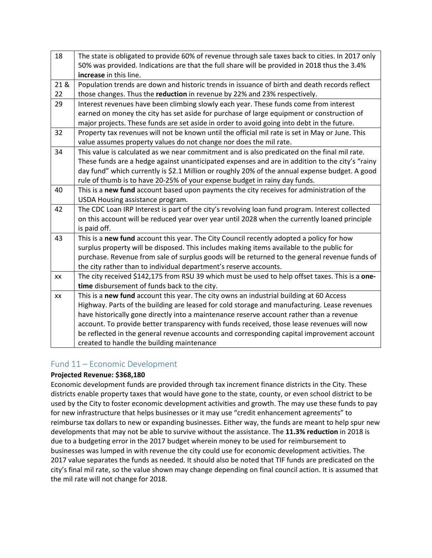| 18   | The state is obligated to provide 60% of revenue through sale taxes back to cities. In 2017 only<br>50% was provided. Indications are that the full share will be provided in 2018 thus the 3.4% |
|------|--------------------------------------------------------------------------------------------------------------------------------------------------------------------------------------------------|
|      | increase in this line.                                                                                                                                                                           |
| 21 & | Population trends are down and historic trends in issuance of birth and death records reflect                                                                                                    |
| 22   | those changes. Thus the reduction in revenue by 22% and 23% respectively.                                                                                                                        |
| 29   | Interest revenues have been climbing slowly each year. These funds come from interest                                                                                                            |
|      | earned on money the city has set aside for purchase of large equipment or construction of                                                                                                        |
|      | major projects. These funds are set aside in order to avoid going into debt in the future.                                                                                                       |
| 32   | Property tax revenues will not be known until the official mil rate is set in May or June. This                                                                                                  |
|      | value assumes property values do not change nor does the mil rate.                                                                                                                               |
| 34   | This value is calculated as we near commitment and is also predicated on the final mil rate.                                                                                                     |
|      | These funds are a hedge against unanticipated expenses and are in addition to the city's "rainy                                                                                                  |
|      | day fund" which currently is \$2.1 Million or roughly 20% of the annual expense budget. A good                                                                                                   |
|      | rule of thumb is to have 20-25% of your expense budget in rainy day funds.                                                                                                                       |
| 40   | This is a new fund account based upon payments the city receives for administration of the                                                                                                       |
|      | USDA Housing assistance program.                                                                                                                                                                 |
| 42   | The CDC Loan IRP Interest is part of the city's revolving loan fund program. Interest collected                                                                                                  |
|      | on this account will be reduced year over year until 2028 when the currently loaned principle                                                                                                    |
|      | is paid off.                                                                                                                                                                                     |
| 43   | This is a new fund account this year. The City Council recently adopted a policy for how                                                                                                         |
|      | surplus property will be disposed. This includes making items available to the public for                                                                                                        |
|      | purchase. Revenue from sale of surplus goods will be returned to the general revenue funds of                                                                                                    |
|      | the city rather than to individual department's reserve accounts.                                                                                                                                |
| XX   | The city received \$142,175 from RSU 39 which must be used to help offset taxes. This is a one-                                                                                                  |
|      | time disbursement of funds back to the city.                                                                                                                                                     |
| XX   | This is a new fund account this year. The city owns an industrial building at 60 Access                                                                                                          |
|      | Highway. Parts of the building are leased for cold storage and manufacturing. Lease revenues                                                                                                     |
|      | have historically gone directly into a maintenance reserve account rather than a revenue                                                                                                         |
|      | account. To provide better transparency with funds received, those lease revenues will now                                                                                                       |
|      | be reflected in the general revenue accounts and corresponding capital improvement account                                                                                                       |
|      | created to handle the building maintenance                                                                                                                                                       |

# Fund 11 – Economic Development

# **Projected Revenue: \$368,180**

Economic development funds are provided through tax increment finance districts in the City. These districts enable property taxes that would have gone to the state, county, or even school district to be used by the City to foster economic development activities and growth. The may use these funds to pay for new infrastructure that helps businesses or it may use "credit enhancement agreements" to reimburse tax dollars to new or expanding businesses. Either way, the funds are meant to help spur new developments that may not be able to survive without the assistance. The **11.3% reduction** in 2018 is due to a budgeting error in the 2017 budget wherein money to be used for reimbursement to businesses was lumped in with revenue the city could use for economic development activities. The 2017 value separates the funds as needed. It should also be noted that TIF funds are predicated on the city's final mil rate, so the value shown may change depending on final council action. It is assumed that the mil rate will not change for 2018.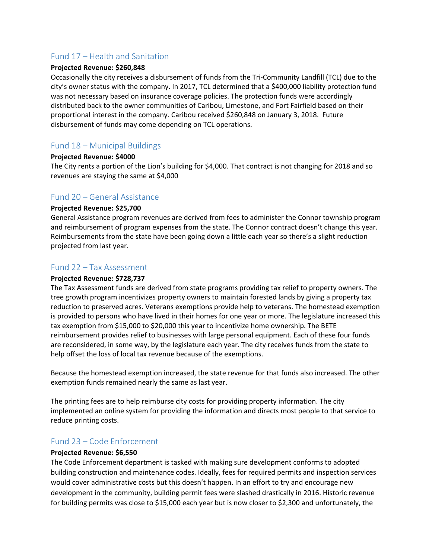# Fund 17 – Health and Sanitation

#### **Projected Revenue: \$260,848**

Occasionally the city receives a disbursement of funds from the Tri-Community Landfill (TCL) due to the city's owner status with the company. In 2017, TCL determined that a \$400,000 liability protection fund was not necessary based on insurance coverage policies. The protection funds were accordingly distributed back to the owner communities of Caribou, Limestone, and Fort Fairfield based on their proportional interest in the company. Caribou received \$260,848 on January 3, 2018. Future disbursement of funds may come depending on TCL operations.

# Fund 18 – Municipal Buildings

#### **Projected Revenue: \$4000**

The City rents a portion of the Lion's building for \$4,000. That contract is not changing for 2018 and so revenues are staying the same at \$4,000

#### Fund 20 – General Assistance

#### **Projected Revenue: \$25,700**

General Assistance program revenues are derived from fees to administer the Connor township program and reimbursement of program expenses from the state. The Connor contract doesn't change this year. Reimbursements from the state have been going down a little each year so there's a slight reduction projected from last year.

#### Fund 22 – Tax Assessment

#### **Projected Revenue: \$728,737**

The Tax Assessment funds are derived from state programs providing tax relief to property owners. The tree growth program incentivizes property owners to maintain forested lands by giving a property tax reduction to preserved acres. Veterans exemptions provide help to veterans. The homestead exemption is provided to persons who have lived in their homes for one year or more. The legislature increased this tax exemption from \$15,000 to \$20,000 this year to incentivize home ownership. The BETE reimbursement provides relief to businesses with large personal equipment. Each of these four funds are reconsidered, in some way, by the legislature each year. The city receives funds from the state to help offset the loss of local tax revenue because of the exemptions.

Because the homestead exemption increased, the state revenue for that funds also increased. The other exemption funds remained nearly the same as last year.

The printing fees are to help reimburse city costs for providing property information. The city implemented an online system for providing the information and directs most people to that service to reduce printing costs.

#### Fund 23 – Code Enforcement

#### **Projected Revenue: \$6,550**

The Code Enforcement department is tasked with making sure development conforms to adopted building construction and maintenance codes. Ideally, fees for required permits and inspection services would cover administrative costs but this doesn't happen. In an effort to try and encourage new development in the community, building permit fees were slashed drastically in 2016. Historic revenue for building permits was close to \$15,000 each year but is now closer to \$2,300 and unfortunately, the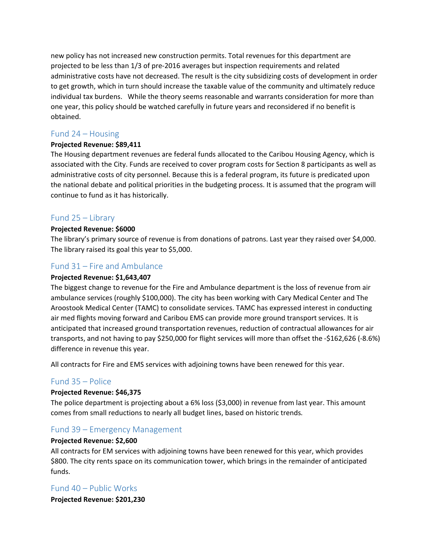new policy has not increased new construction permits. Total revenues for this department are projected to be less than 1/3 of pre-2016 averages but inspection requirements and related administrative costs have not decreased. The result is the city subsidizing costs of development in order to get growth, which in turn should increase the taxable value of the community and ultimately reduce individual tax burdens. While the theory seems reasonable and warrants consideration for more than one year, this policy should be watched carefully in future years and reconsidered if no benefit is obtained.

# Fund 24 – Housing

#### **Projected Revenue: \$89,411**

The Housing department revenues are federal funds allocated to the Caribou Housing Agency, which is associated with the City. Funds are received to cover program costs for Section 8 participants as well as administrative costs of city personnel. Because this is a federal program, its future is predicated upon the national debate and political priorities in the budgeting process. It is assumed that the program will continue to fund as it has historically.

# Fund 25 – Library

#### **Projected Revenue: \$6000**

The library's primary source of revenue is from donations of patrons. Last year they raised over \$4,000. The library raised its goal this year to \$5,000.

# Fund 31 – Fire and Ambulance

#### **Projected Revenue: \$1,643,407**

The biggest change to revenue for the Fire and Ambulance department is the loss of revenue from air ambulance services (roughly \$100,000). The city has been working with Cary Medical Center and The Aroostook Medical Center (TAMC) to consolidate services. TAMC has expressed interest in conducting air med flights moving forward and Caribou EMS can provide more ground transport services. It is anticipated that increased ground transportation revenues, reduction of contractual allowances for air transports, and not having to pay \$250,000 for flight services will more than offset the -\$162,626 (-8.6%) difference in revenue this year.

All contracts for Fire and EMS services with adjoining towns have been renewed for this year.

# Fund 35 – Police

#### **Projected Revenue: \$46,375**

The police department is projecting about a 6% loss (\$3,000) in revenue from last year. This amount comes from small reductions to nearly all budget lines, based on historic trends.

# Fund 39 – Emergency Management

#### **Projected Revenue: \$2,600**

All contracts for EM services with adjoining towns have been renewed for this year, which provides \$800. The city rents space on its communication tower, which brings in the remainder of anticipated funds.

# Fund 40 – Public Works

**Projected Revenue: \$201,230**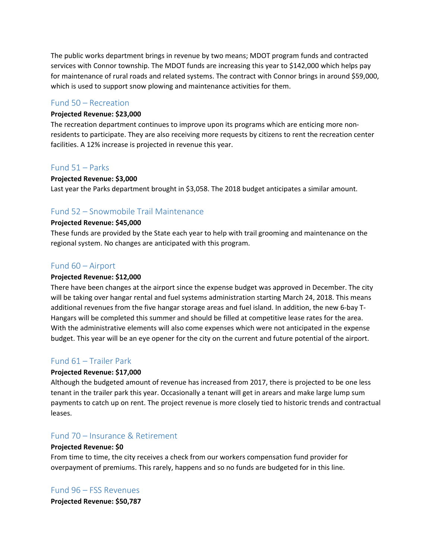The public works department brings in revenue by two means; MDOT program funds and contracted services with Connor township. The MDOT funds are increasing this year to \$142,000 which helps pay for maintenance of rural roads and related systems. The contract with Connor brings in around \$59,000, which is used to support snow plowing and maintenance activities for them.

#### Fund 50 – Recreation

#### **Projected Revenue: \$23,000**

The recreation department continues to improve upon its programs which are enticing more nonresidents to participate. They are also receiving more requests by citizens to rent the recreation center facilities. A 12% increase is projected in revenue this year.

#### Fund 51 – Parks

#### **Projected Revenue: \$3,000**

Last year the Parks department brought in \$3,058. The 2018 budget anticipates a similar amount.

#### Fund 52 – Snowmobile Trail Maintenance

#### **Projected Revenue: \$45,000**

These funds are provided by the State each year to help with trail grooming and maintenance on the regional system. No changes are anticipated with this program.

#### Fund 60 – Airport

#### **Projected Revenue: \$12,000**

There have been changes at the airport since the expense budget was approved in December. The city will be taking over hangar rental and fuel systems administration starting March 24, 2018. This means additional revenues from the five hangar storage areas and fuel island. In addition, the new 6-bay T-Hangars will be completed this summer and should be filled at competitive lease rates for the area. With the administrative elements will also come expenses which were not anticipated in the expense budget. This year will be an eye opener for the city on the current and future potential of the airport.

# Fund 61 – Trailer Park

#### **Projected Revenue: \$17,000**

Although the budgeted amount of revenue has increased from 2017, there is projected to be one less tenant in the trailer park this year. Occasionally a tenant will get in arears and make large lump sum payments to catch up on rent. The project revenue is more closely tied to historic trends and contractual leases.

# Fund 70 – Insurance & Retirement

#### **Projected Revenue: \$0**

From time to time, the city receives a check from our workers compensation fund provider for overpayment of premiums. This rarely, happens and so no funds are budgeted for in this line.

# Fund 96 – FSS Revenues

**Projected Revenue: \$50,787**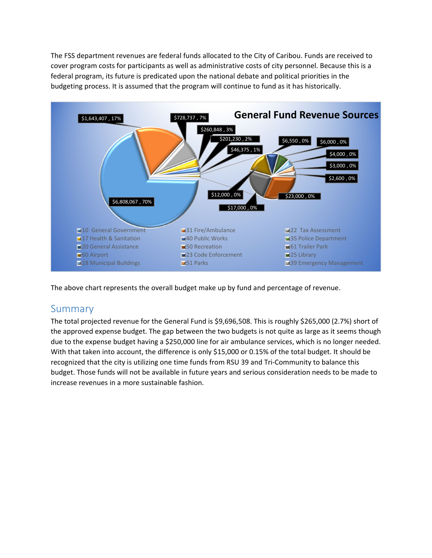The FSS department revenues are federal funds allocated to the City of Caribou. Funds are received to cover program costs for participants as well as administrative costs of city personnel. Because this is a federal program, its future is predicated upon the national debate and political priorities in the budgeting process. It is assumed that the program will continue to fund as it has historically.



The above chart represents the overall budget make up by fund and percentage of revenue.

# Summary

The total projected revenue for the General Fund is \$9,696,508. This is roughly \$265,000 (2.7%) short of the approved expense budget. The gap between the two budgets is not quite as large as it seems though due to the expense budget having a \$250,000 line for air ambulance services, which is no longer needed. With that taken into account, the difference is only \$15,000 or 0.15% of the total budget. It should be recognized that the city is utilizing one time funds from RSU 39 and Tri-Community to balance this budget. Those funds will not be available in future years and serious consideration needs to be made to increase revenues in a more sustainable fashion.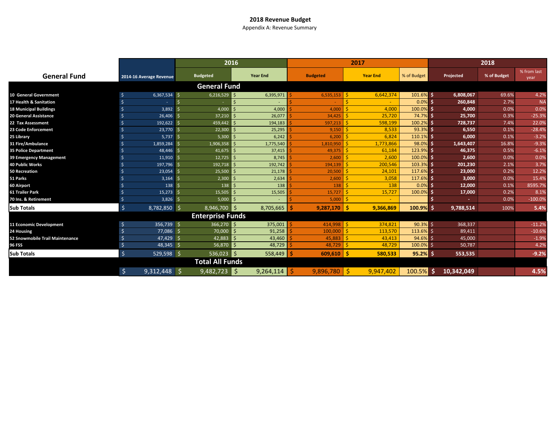Appendix A: Revenue Summary

|                                 |                            |                         | 2016              |                       | 2017            | 2018         |            |             |                     |  |
|---------------------------------|----------------------------|-------------------------|-------------------|-----------------------|-----------------|--------------|------------|-------------|---------------------|--|
| <b>General Fund</b>             | 2014-16 Average Revenue    | <b>Budgeted</b>         | <b>Year End</b>   | <b>Budgeted</b>       | <b>Year End</b> | % of Budget  | Projected  | % of Budget | % from last<br>year |  |
|                                 |                            | <b>General Fund</b>     |                   |                       |                 |              |            |             |                     |  |
| <b>10 General Government</b>    | $6,367,534$ \$             | 6,216,529               | -Ś<br>6,395,971   | $6,535,153$ \$        | 6,642,374       | 101.6% \$    | 6,808,067  | 69.6%       | 4.2%                |  |
| 17 Health & Sanitation          |                            |                         | $\leq$            |                       |                 | $0.0\%$ \$   | 260,848    | 2.7%        | <b>NA</b>           |  |
| <b>18 Municipal Buildings</b>   | 3,892                      | 4,000                   | 4,000             | 4.000                 | 4.000           | 100.0% \$    | 4,000      | 0.0%        | 0.0%                |  |
| <b>20 General Assistance</b>    | 26,406                     | 37,210                  | 26,077            | 34.425                | 25,720          | 74.7% \$     | 25,700     | 0.3%        | $-25.3%$            |  |
| 22 Tax Assessment               | 192,622                    | 459,442                 | 194,183           | 597,213               | 598,199         | 100.2%       | 728,737    | 7.4%        | 22.0%               |  |
| 23 Code Enforcement             | 23,770                     | 22,300                  | 25,295            | 9,150                 | 8,533           | $93.3%$ \$   | 6,550      | 0.1%        | $-28.4%$            |  |
| 25 Library                      | 5,737                      | 5,300<br>∐ Ś            | 6,242             | 6,200                 | 6,824           | 110.1% \$    | 6,000      | 0.1%        | $-3.2%$             |  |
| 31 Fire/Ambulance               | 1,859,284                  | 1,906,358               | 1,775,540         | 1,810,950             | 1,773,866       | 98.0%        | 1,643,407  | 16.8%       | $-9.3%$             |  |
| <b>35 Police Department</b>     | 48,446                     | 41,675                  | 37,415            | 49.375                | 61,184          | 123.9%       | 46,375     | 0.5%        | $-6.1%$             |  |
| 39 Emergency Management         | 11,910                     | 12,725                  | 8,745<br>$\zeta$  | 2,600                 | 2,600           | $100.0\%$ \$ | 2,600      | 0.0%        | 0.0%                |  |
| <b>40 Public Works</b>          | 197,796                    | 192,718                 | 192,742           | 194,139               | 200,546         | 103.3% \$    | 201,230    | 2.1%        | 3.7%                |  |
| <b>50 Recreation</b>            | 23,054                     | 25,500                  | 21,178            | 20,500                | 24,101          | 117.6%       | 23,000     | 0.2%        | 12.2%               |  |
| 51 Parks                        | 3,164                      | 2,300                   | 2,634             | $2,600$   \$          | 3,058           | 117.6% \$    | 3,000      | 0.0%        | 15.4%               |  |
| 60 Airport                      | 138                        | 138                     | 138               | 138                   | 138             | $0.0\%$ \$   | 12,000     | 0.1%        | 8595.79             |  |
| 61 Trailer Park                 | 15,273                     | 15,505                  | 15,505            | 15,727                | 15,727          | 100.0% \$    | 17,000     | 0.2%        | 8.1%                |  |
| 70 Ins. & Retirement            | 3,826                      | 5,000                   |                   | $5,000$ $\frac{5}{5}$ |                 |              |            | 0.0%        | $-100.0%$           |  |
| Sub Totals                      | $\sqrt{5}$<br>8,782,850 \$ | $8,946,700$ \$          | 8,705,665         | $9,287,170$   \$      | 9,366,869       | $100.9%$ \$  | 9,788,514  | 100%        | 5.4%                |  |
|                                 |                            | <b>Enterprise Funds</b> |                   |                       |                 |              |            |             |                     |  |
| 11 Economic Development         | 356,739 \$<br>\$           | $366,270$ \$            | 375,001           | $414,998$ \$          | 374,821         | $90.3%$ \$   | 368,337    |             | $-11.2%$            |  |
| 24 Housing                      | 77,086                     | 70,000                  | 91,258            | 100,000               | 113,570         | 113.6% \$    | 89,411     |             | $-10.6%$            |  |
| 52 Snowmobile Trail Maintenance | 47,429                     | 42,883                  | 43,460            | 45.883                | 43.413          | 94.6%        | 45,000     |             | $-1.9%$             |  |
| 96 FSS                          | 48,345                     | 56,870                  | 48,729            | 48,729                | 48,729          | $100.0\%$ \$ | 50,787     |             | 4.2%                |  |
| Sub Totals                      | S.<br>529,598              | 536,023                 | l \$<br>558,449   | $609.610$ S           | 580,533         | $95.2%$ \$   | 553,535    |             | $-9.2%$             |  |
|                                 |                            | <b>Total All Funds</b>  |                   |                       |                 |              |            |             |                     |  |
|                                 | $\zeta$<br>9,312,448       | 9,482,723               | \$ ∥<br>9,264,114 | $9,896,780$   \$<br>S | 9,947,402       | 100.5%       | 10,342,049 |             | 4.5%                |  |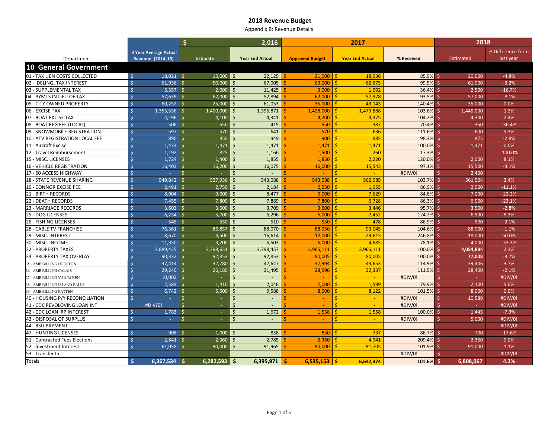Appendix B: Revenue Details

|                                        |                    |                              | \$                  |                 | 2,016                  |           |  |                        | 2017                   | 2018     |            |    |           |                   |
|----------------------------------------|--------------------|------------------------------|---------------------|-----------------|------------------------|-----------|--|------------------------|------------------------|----------|------------|----|-----------|-------------------|
|                                        |                    | <b>3 Year Average Actual</b> |                     |                 |                        |           |  |                        |                        |          |            |    |           | % Difference from |
| Department                             |                    | Revenue (2014-16)            |                     | <b>Estimate</b> | <b>Year End Actual</b> |           |  | <b>Approved Budget</b> | <b>Year End Actual</b> |          | % Received |    | Estimated | last year         |
| <b>10 General Government</b>           |                    |                              |                     |                 |                        |           |  |                        |                        |          |            |    |           |                   |
| 01 - TAX LIEN COSTS COLLECTED          | $\mathsf{S}$       | $18,021$ \$                  |                     | 15,000          | Ŝ.                     | 22,125    |  | 21,000                 | l \$                   | 18,036   | 85.9%      | Ŝ. | 20,000    | $-4.8%$           |
| 02 - DELINQ. TAX INTEREST              | $\dot{\mathsf{S}}$ | $61.936$ \$                  |                     | 50.000          |                        | 67,005    |  | 63,000                 |                        | 62,675   | 99.5%      |    | 61.000    | $-3.2%$           |
| 03 - SUPPLEMENTAL TAX                  | $\dot{\mathsf{S}}$ | $5,357$ \$                   |                     | 2.000           | Ŝ.                     | 11,425    |  | 3,000                  | -Ś.                    | 1,092    | 36.4%      |    | 2,500     | $-16.7%$          |
| 04 - PYMTS IN LIEU OF TAX              | Ŝ                  | $57,639$ \$                  |                     | 62,000          | <sub>S</sub>           | 52,894    |  | 62.000                 | Ŝ.                     | 57,978   | 93.5%      |    | 57,000    | $-8.1%$           |
| 05 - CITY OWNED PROPERTY               | Ŝ                  | $60,252$ \$                  |                     | 25,000          | <sub>S</sub>           | 61,053    |  | 35,000                 | -Ś                     | 49,143   | 140.4%     |    | 35,000    | 0.0%              |
| 06 - EXCISE TAX                        | $\zeta$            | 1,355,536                    | S.                  | 1,400,000       | $\varsigma$            | 1,396,871 |  | 1,428,000              | 1,479,888<br>Š.        |          | 103.6%     |    | 1,445,000 | 1.2%              |
| 07 - BOAT EXCISE TAX                   | $\dot{\mathsf{S}}$ | $4,196$ \$                   |                     | 4,100           | Ŝ.                     | 4,341     |  | 4,200                  | Ŝ.                     | 4,375    | 104.2%     |    | 4,300     | 2.4%              |
| 08 - BOAT REG FEE (LOCAL)              | $\zeta$            | $506$ \$                     |                     | 550             | Ś                      | 415       |  | 550                    |                        | 387      | 70.4%      |    | 350       | $-36.4%$          |
| 09 - SNOWMOBILE REGISTRATION           | $\dot{\mathsf{S}}$ | $597$ \$                     |                     | 570             | Ŝ                      | 641       |  | 570                    | -S                     | 636      | 111.6%     |    | 600       | 5.3%              |
| <b>10 - ATV REGISTRATION LOCAL FEE</b> |                    | $890$ \$                     |                     | 850             | $\varsigma$            | 949       |  | 900                    | -Ś.                    | 885      | 98.3%      |    | 875       | $-2.8%$           |
| 11 - Aircraft Excise                   |                    | 1.434                        | ∣ \$                | 1.471           |                        | 1,471     |  | 1.471                  |                        | 1.471    | 100.0%     |    | 1.471     | 0.0%              |
| 12 - Travel Reimbursement              | $\dot{\mathsf{S}}$ | 1,192                        | - Ś                 | 825             | $\zeta$                | 1,166     |  | 1,500                  | -C                     | 260      | 17.3%      |    | in 19     | $-100.0%$         |
| 15 - MISC. LICENSES                    | $\dot{\mathsf{S}}$ | 1,724                        | Ŝ.                  | 1.400           | Ś                      | 1,855     |  | 1,850                  | S                      | 2,220    | 120.0%     |    | 2,000     | 8.1%              |
| <b>16 - VEHICLE REGISTRATION</b>       | $\zeta$            | $16,403$ \$                  |                     | 16,200          | Ś                      | 16,075    |  | 16,000                 |                        | 15,543   | 97.1%      |    | 15,500    | $-3.1%$           |
| 17 - 60 ACCESS HIGHWAY                 | Ŝ                  | $\sim$                       | $\mathsf{S}$        | ÷               |                        |           |  |                        | Ś.                     | $\sim$   | #DIV/0!    |    | 2,400     |                   |
| 18 - STATE REVENUE SHARING             |                    | 549,842 \$                   |                     | 527,936         |                        | 543,088   |  | 543.088                | 562,985                |          | 103.7%     |    | 561,504   | 3.4%              |
| <b>19 - CONNOR EXCISE FEE</b>          | $\dot{\mathsf{S}}$ | 2,491                        | ۱Ś.                 | 2,750           | <sub>S</sub>           | 2,184     |  | 2,250                  |                        | 1,955    | 86.9%      |    | 2,000     | $-11.1%$          |
| 21 - BIRTH RECORDS                     | $\dot{\mathsf{S}}$ | 8,904                        | ۱Ś.                 | 9.000           | $\varsigma$            | 8,477     |  | 9,000                  | S.                     | 7,629    | 84.8%      |    | 7,000     | $-22.2%$          |
| <b>22 - DEATH RECORDS</b>              | Ŝ.                 | $7.455$   \$                 |                     | 7,800           | $\varsigma$            | 7,889     |  | 7,800                  | Š.                     | 6,728    | 86.3%      |    | 6.000     | $-23.1%$          |
| 23 - MARRIAGE RECORDS                  | $\dot{\mathsf{S}}$ | $3,603$ \$                   |                     | 3.600           | Ŝ.                     | 3,709     |  | 3,600                  | Ŝ.                     | 3,446    | 95.7%      |    | 3,500     | $-2.8%$           |
| 25 - DOG LICENSES                      | $\dot{\mathsf{S}}$ | $6,234$ \$                   |                     | 5,700           | Ŝ                      | 6,296     |  | 6,000                  | Ŝ.                     | 7,452    | 124.2%     |    | 6,500     | 8.3%              |
| 26 - FISHING LICENSES                  |                    | $545$ \$                     |                     | 550             |                        | 510       |  | 550                    | -Ś.                    | 478      | 86.9%      |    | 500       | $-9.1%$           |
| 28 - CABLE TV FRANCHISE                | Ś                  | 76,361                       | l \$                | 86,857          |                        | 88,070    |  | 88.950                 | Š.                     | 93,045   | 104.6%     |    | 88,000    | $-1.1%$           |
| 29 - MISC. INTEREST                    | $\dot{\mathsf{S}}$ | $8,670$ \$                   |                     | 4,500           | Ŝ.                     | 16,614    |  | 12,000                 | -Ś                     | 29,615   | 246.8%     |    | 18,000    | 50.0%             |
| 30 - MISC. INCOME                      | Ŝ.                 | $11,350$ \$                  |                     | 3.200           | Ś                      | 6,503     |  | 6,000                  |                        | 4,685    | 78.1%      | S. | 4.000     | $-33.3%$          |
| <b>32 - PROPERTY TAXES</b>             | $\dot{\mathsf{S}}$ | $3,889,425$ \$               |                     | 3,798,651       |                        | 3,798,457 |  | 3,965,111              | 3,965,111              |          | 100.0%     |    | 4,054,884 | 2.3%              |
| 34 - PROPERTY TAX OVERLAY              |                    | $90,332$ \$                  |                     | 92,853          | $\zeta$                | 92,853    |  | 80.005                 | Ŝ.                     | 80,005   | 100.0%     | Ŝ. | 77,008    | $-3.7%$           |
| 35 - AMB BILLING HOULTON               |                    | $37,414$ \$                  |                     | 32,780          |                        | 42,647    |  | 37.994                 | Ŝ.                     | 43.653   | 114.9%     |    | 39,406    | 3.7%              |
| 36 - AMB BILLING CALAIS                | $\mathsf{S}$       | $29,240$ \$                  |                     | 26,180          | Ŝ.                     | 31,495    |  | 28,996                 | Ŝ.                     | 32,337   | 111.5%     |    | 28,400    | $-2.1%$           |
| 37 - AMB BILLING VAN BUREN             | $\dot{\mathsf{S}}$ | $10,002$ \$                  |                     | $\sim$          | $\zeta$                |           |  | $\blacksquare$         | ς.                     | $\sim$   | #DIV/0!    |    | $\sim$    | #DIV/0!           |
| 38 - AMB BILLING ISLAND FALLS          | $\dot{\mathsf{S}}$ | $2,589$ \$                   |                     | 1.410           |                        | 2,046     |  | 2,000                  |                        | 1,599    | 79.9%      |    | 2,100     | 5.0%              |
| 39 - AMB BILLING PATTEN                | $\dot{\mathsf{S}}$ | $6,742$ \$                   |                     | 5,500           | Ŝ.                     | 9,588     |  | 8,000                  | Ŝ.                     | 8,122    | 101.5%     | S. | 8,000     | 0.0%              |
| 40 - HOUSING P/Y RECONCILIATION        |                    | $\sim 10$                    | 5                   | $\sim$          | Ŝ.                     | $\sim$    |  | <b>Security</b>        | Ŝ.                     | $\sim$   | #DIV/0!    |    | 10,589    | #DIV/0!           |
| 41 - CDC REVOLOVING LOAN INT           |                    | #DIV/0!                      | $\ddot{\mathsf{s}}$ | $\sim$          | Ŝ.                     | $\sim$    |  |                        | Ŝ.                     | $\sim$   | #DIV/0!    |    | realists. | #DIV/0!           |
| 42 - CDC LOAN IRP INTEREST             | Ŝ.                 | 1,783                        | $\mathsf{S}$        | $\sim$          | Ś                      | 1,672     |  | 1,558                  |                        | 1,558    | 100.0%     |    | 1,445     | $-7.3%$           |
| 43 - DISPOSAL OF SURPLUS               | $\dot{\mathsf{S}}$ | У.                           | $\mathsf{S}$        | $\omega$        | $\mathsf{\hat{S}}$     | $\sim$    |  | $\sim$                 | Ŝ.                     | $\omega$ | #DIV/0!    |    | 5,000     | #DIV/0!           |
| 44 - RSU PAYMENT                       |                    |                              |                     |                 |                        |           |  |                        |                        |          |            |    |           | #DIV/0!           |
| 47 - HUNTING LICENSES                  | Ś                  | 908 <sup>5</sup>             |                     | 1,000           |                        | 838       |  | 850                    |                        | 737      | 86.7%      |    | 700       | $-17.6%$          |
| 51 - Contracted Fees Elections         |                    | $2,841$ \$                   |                     | 2,360           | $\zeta$                | 2,785     |  | 2,360                  | -Ś.                    | 4,941    | 209.4%     | -S | 2,360     | 0.0%              |
| 52 - Investment Interest               |                    | $61,058$ \$                  |                     | 90.000          |                        | 91,965    |  | 90.000                 | -Ś.                    | 91.705   | 101.9%     |    | 91.000    | 1.1%              |
| 53 - Transfer In                       |                    |                              |                     |                 |                        |           |  |                        |                        |          | #DIV/0!    |    |           | #DIV/0!           |
| Totals                                 | Ŝ.                 | $6,367,534$ \$               |                     | 6,282,593       | <b>S</b>               | 6,395,971 |  | 6.535.153              | 6,642,374<br>۱s        |          | 101.6%     | Ŝ. | 6,808,067 | 4.2%              |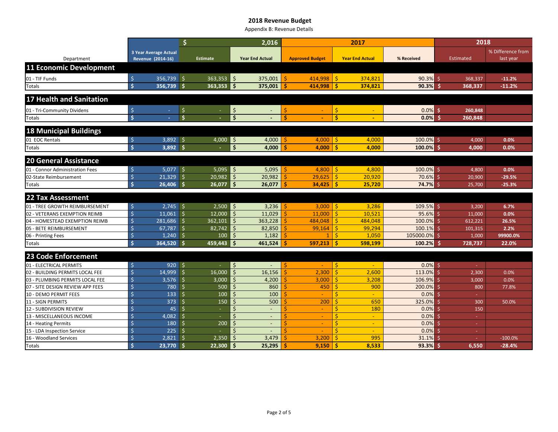Appendix B: Revenue Details

|                                                     |                              |                    | \$<br>2,016         |                                 |                                                                 |        |                                 | 2017    |                        | 2018           |          |                  |                   |
|-----------------------------------------------------|------------------------------|--------------------|---------------------|---------------------------------|-----------------------------------------------------------------|--------|---------------------------------|---------|------------------------|----------------|----------|------------------|-------------------|
|                                                     | <b>3 Year Average Actual</b> |                    |                     |                                 |                                                                 |        |                                 |         |                        |                |          |                  | % Difference from |
| Department                                          |                              | Revenue (2014-16)  |                     | <b>Estimate</b>                 | <b>Year End Actual</b>                                          |        | <b>Approved Budget</b>          |         | <b>Year End Actual</b> | % Received     |          | Estimated        | last year         |
| <b>11 Economic Development</b>                      |                              |                    |                     |                                 |                                                                 |        |                                 |         |                        |                |          |                  |                   |
| 01 - TIF Funds                                      | $\ddot{\varsigma}$           | 356,739            | $\ddot{\mathsf{S}}$ | 363,353                         | $\mathsf{S}$<br>375,001                                         | Ś      | 414,998                         | -Ś      | 374,821                | 90.3%          |          | 368,337          | $-11.2%$          |
| Totals                                              | $\mathsf{\hat{S}}$           | 356,739 \$         |                     | 363,353                         | $\mathsf{S}$<br>375,001                                         | Ŝ      | 414,998                         | ١ś      | 374,821                | 90.3%          |          | 368,337          | $-11.2%$          |
|                                                     |                              |                    |                     |                                 |                                                                 |        |                                 |         |                        |                |          |                  |                   |
| 17 Health and Sanitation                            |                              |                    |                     |                                 |                                                                 |        |                                 |         |                        |                |          |                  |                   |
| 01 - Tri-Community Dividens                         | $\ddot{\varsigma}$           | $\sim$             | \$                  |                                 | $\boldsymbol{\zeta}$                                            | Ś      |                                 | \$      |                        | 0.0%           | <b>S</b> | 260,848          |                   |
| Totals                                              | $\mathsf{\hat{S}}$           |                    | $\frac{1}{2}$       |                                 | Ś                                                               | ¢,     |                                 | Ŝ       |                        | 0.0%           |          | 260,848          |                   |
|                                                     |                              |                    |                     |                                 |                                                                 |        |                                 |         |                        |                |          |                  |                   |
| <b>18 Municipal Buildings</b>                       |                              |                    |                     |                                 |                                                                 |        |                                 |         |                        |                |          |                  |                   |
| 01 EOC Rentals                                      | Ś                            | $3,892$ \$         |                     | $4,000$ \$                      | 4,000                                                           | S      | $4,000$   \$                    |         | 4,000                  | $100.0\%$ \$   |          | 4,000            | 0.0%              |
| Totals                                              | $\dot{\mathsf{s}}$           | $3,892$ \$         |                     |                                 | \$<br>4,000                                                     | s      | 4,000                           | -Ŝ      | 4,000                  | $100.0\%$ \$   |          | 4,000            | 0.0%              |
| <b>20 General Assistance</b>                        |                              |                    |                     |                                 |                                                                 |        |                                 |         |                        |                |          |                  |                   |
|                                                     |                              | $5,077$ \$         |                     |                                 | 5,095                                                           |        |                                 |         |                        | $100.0\%$ \$   |          |                  |                   |
| 01 - Connor Administration Fees                     | Ś                            | $\sqrt{21,329}$ \$ |                     | $5,095$ $\frac{1}{5}$<br>20,982 | Ŝ.<br>20,982                                                    | S<br>Ŝ | $4,800$   \$<br>29,625          | Ŝ.      | 4,800<br>20,920        | 70.6% \$       |          | 4,800            | 0.0%<br>$-29.5%$  |
| 02-State Reimbursement<br>Totals                    | Ŝ.                           | $26,406$ \$        |                     | 26,077                          | Ś.<br>26,077                                                    | Ŝ      | 34.425                          | Ŝ       | 25,720                 | $74.7%$ \$     |          | 20,900<br>25,700 | $-25.3%$          |
|                                                     |                              |                    |                     |                                 |                                                                 |        |                                 |         |                        |                |          |                  |                   |
| <b>22 Tax Assessment</b>                            |                              |                    |                     |                                 |                                                                 |        |                                 |         |                        |                |          |                  |                   |
| 01 - TREE GROWTH REIMBURSEMENT                      | \$                           | $2,745$ \$         |                     | $2,500$ \$                      | 3,236                                                           | Ŝ      | $3,000$   \$                    |         | 3,286                  | $109.5%$ \$    |          | 3,200            | 6.7%              |
| 02 - VETERANS EXEMPTION REIMB                       | Ś                            | $11,061$ \$        |                     | 12,000                          | $\mathsf{\dot{S}}$<br>11,029                                    |        | 11,000                          |         | 10,521                 | 95.6%          | Ŝ.       | 11,000           | 0.0%              |
| 04 - HOMESTEAD EXEMPTION REIMB                      |                              | 281,686 \$         |                     | 362.101                         | $\mathsf{\dot{S}}$<br>363,228                                   |        | 484.048                         | Ś.      | 484,048                | 100.0%         | $\leq$   | 612.221          | 26.5%             |
| 05 - BETE REIMBURSEMENT                             |                              | $67,787$ \$        |                     | 82,742                          | \$<br>82,850                                                    |        | 99,164                          |         | 99,294                 | 100.1%         | -S       | 101,315          | 2.2%              |
| 06 - Printing Fees                                  |                              | $1,240$ \$         |                     | 100                             | Ŝ.<br>1,182                                                     |        | $\mathbf{1}$                    | Ŝ.      | 1,050                  | 105000.0% \$   |          | 1,000            | 99900.0%          |
| Totals                                              | Ŝ                            | 364,520 \$         |                     | 459.443                         | 461,524<br>Ŝ                                                    | ¢,     | 597.213                         | -Ś      | 598.199                | 100.2%         | .Ŝ       | 728,737          | 22.0%             |
| <b>23 Code Enforcement</b>                          |                              |                    |                     |                                 |                                                                 |        |                                 |         |                        |                |          |                  |                   |
|                                                     |                              |                    |                     |                                 |                                                                 |        |                                 |         |                        |                |          |                  |                   |
| 01 - ELECTRICAL PERMITS                             | $\zeta$<br>Ś                 | $920$ \$           |                     |                                 | Ŝ.<br>$\overline{a}$<br>$\mathsf{\dot{S}}$                      | Š.     |                                 | Ŝ.<br>Ś | $\sim$                 | $0.0\%$ \$     |          |                  |                   |
| 02 - BUILDING PERMITS LOCAL FEE                     |                              | 14,999             | Ŝ.                  | 16,000                          | 16,156<br>$\zeta$                                               |        | 2,300                           | Ś       | 2,600                  | 113.0%         | $\zeta$  | 2,300            | 0.0%              |
| 03 - PLUMBING PERMITS LOCAL FEE                     |                              | $3,576$ \$         | Ŝ.                  | 3,000                           | 4,200<br>$\zeta$                                                |        | 3,000                           |         | 3,208                  | 106.9%         | S,       | 3,000            | 0.0%              |
| 07 - SITE DESIGN REVIEW APP FEES                    |                              | 780<br>133         | -Ś                  | 500<br>100                      | 860<br>ς<br>100                                                 |        | 450<br>$\overline{\phantom{0}}$ |         | 900<br>$\Delta \phi$   | 200.0%<br>0.0% | -S       | 800              | 77.8%             |
| 10 - DEMO PERMIT FEES                               |                              | 373                | Ś.                  | 150                             | Ś<br>500                                                        |        | 200                             |         | 650                    | 325.0%         | $\zeta$  |                  |                   |
| <b>11 - SIGN PERMITS</b><br>12 - SUBDIVISION REVIEW |                              | 45                 | Ś                   | $\sim$                          | Ś<br>$\sim$                                                     |        | $\sim$                          | Ś       | 180                    | 0.0%           | Š.       | 300<br>150       | 50.0%             |
|                                                     |                              | 4,082              | Ś                   | $\sim$                          | Ś                                                               |        |                                 |         |                        | 0.0%           | Š.       |                  |                   |
| 13 - MISCELLANEOUS INCOME<br>14 - Heating Permits   | $\zeta$                      | 180                | -Ś                  | 200                             | $\overline{\phantom{a}}$<br>$\zeta$<br>$\overline{\phantom{0}}$ |        | $\overline{\phantom{0}}$        | Ś.      | $\sim$<br>$\sim$       | 0.0%           | S.       | $\sim$<br>х.     |                   |
| 15 - LDA Inspection Service                         |                              | 225                | Ŝ.                  |                                 | $\zeta$                                                         |        |                                 | Ŕ       | $\sim$                 | 0.0%           | Š.       | $\sim$           |                   |
| 16 - Woodland Services                              | Ś                            | $2,821$ \$         |                     | 2,350                           | 3,479                                                           |        | 3,200                           |         | 995                    | 31.1%          |          | ч.               | $-100.0%$         |
| Totals                                              | Ś                            | $23,770$ \$        |                     | 22,300                          | 25,295<br>Ŝ                                                     |        | 9,150                           |         | 8,533                  | 93.3%          |          | 6,550            | $-28.4%$          |
|                                                     |                              |                    |                     |                                 |                                                                 |        |                                 |         |                        |                |          |                  |                   |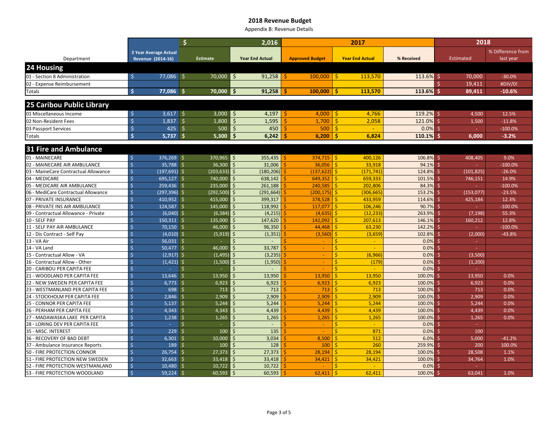Appendix B: Revenue Details

|                                              |                                       |              |                     | 2,016                  |                        | 2017                   |                  | 2018                |                    |  |  |
|----------------------------------------------|---------------------------------------|--------------|---------------------|------------------------|------------------------|------------------------|------------------|---------------------|--------------------|--|--|
|                                              | <b>3 Year Average Actual</b>          |              |                     |                        |                        |                        |                  |                     | % Difference from  |  |  |
| Department                                   | Revenue (2014-16)                     |              | <b>Estimate</b>     | <b>Year End Actual</b> | <b>Approved Budget</b> | <b>Year End Actual</b> | % Received       | Estimated           | last year          |  |  |
| 24 Housing                                   |                                       |              |                     |                        |                        |                        |                  |                     |                    |  |  |
| 01 - Section 8 Administration                | $\dot{\mathsf{S}}$<br>77.086 \$       |              | 70,000              | 91,258<br>Ŝ.           | 100,000                | Is.<br>113.570         | $113.6\%$ \$     | 70.000              | $-30.0%$           |  |  |
| 02 - Expense Reimbursement                   |                                       |              |                     |                        |                        |                        |                  | 19,411              | #DIV/0!            |  |  |
| Totals                                       | Ŝ.<br>77,086 \$                       |              | 70.000 S            | 91,258                 | 100,000                | 113,570<br>Ŝ.          | 113.6%           | -Ś<br>89,411        | $-10.6%$           |  |  |
|                                              |                                       |              |                     |                        |                        |                        |                  |                     |                    |  |  |
| 25 Caribou Public Library                    |                                       |              |                     |                        |                        |                        |                  |                     |                    |  |  |
| 01 Miscellaneous Income                      | $\zeta$<br>$3,617$ \$                 |              | 3.000               | 4,197<br>Ŝ.            | 4.000                  | I\$<br>4.766           | $119.2%$ \$      | 4,500               | 12.5%              |  |  |
| 02 Non-Resident Fees                         | Ś<br>$1,837$ \$                       |              | 1,800               | Ś<br>1,595             | 1,700                  | 2,058<br>Ś             | 121.0%           | 1,500               | $-11.8%$           |  |  |
| 03 Passport Services                         | Ś<br>425                              | -\$          | 500                 | $\zeta$<br>450         | 500                    | Ŝ.<br>$\sim$           | 0.0%             | -S                  | $-100.0%$          |  |  |
| Totals                                       | Ś<br>5,737                            | .\$          | 5,300               | Ŝ<br>6,242             | 6,200                  | 6,824<br>s             | 110.1%           | 6,000               | $-3.2%$            |  |  |
| 31 Fire and Ambulance                        |                                       |              |                     |                        |                        |                        |                  |                     |                    |  |  |
|                                              |                                       |              |                     |                        |                        |                        |                  |                     |                    |  |  |
| 01 - MAINECARE                               | 376,269 \$<br>Ŝ.                      |              | 370,965             | 355,435<br>Ś           | $374,715$ \$           | 400,126                | 106.8% \$        | 408,405             | 9.0%               |  |  |
| 02 - MAINECARE AIR AMBULANCE                 | $\mathsf{\dot{S}}$<br>$35,788$ \$     |              | 36.300              | 31,006                 | 36.056                 | 33.918<br>-Ś           | 94.1%            | Ŝ.                  | $-100.0%$          |  |  |
| 03 - MaineCare Contractual Allowance         | Ŝ<br>$(197,691)$ \$                   |              | (203, 633)          | (180, 206)             | (137.622)              | (171, 741)<br>l \$     | 124.8%           | (101, 825)<br>Š.    | $-26.0%$           |  |  |
| 04 - MEDICARE                                | Ś<br>$695,127$ \$                     |              | 740,000             | 638,142                | 649,352                | 659,333<br><b>S</b>    | 101.5%           | -Ś<br>746,151       | 14.9%              |  |  |
| 05 - MEDICARE AIR AMBULANCE                  | Ś<br>259,436 \$                       |              | 235,000             | 261,188                | 240,585                | 202,806                | 84.3%            |                     | $-100.0%$          |  |  |
| 06 - MediCare Contractual Allowance          | Ś<br>(297,396) \$                     |              | (292, 500)          | (291, 664)             | (200, 175)             | (306, 665)             | 153.2%           | (153, 077)          | $-23.5%$           |  |  |
| 07 - PRIVATE INSURANCE                       | Ś<br>410,952 \$<br>$\dot{\mathsf{S}}$ |              | 415,000             | 399,317                | 378,528                | 433,959                | 114.6%           | 425,184             | 12.3%              |  |  |
| 08 - PRIVATE INS AIR AMBULANCE               | 124,587 \$<br>Ś<br>$(6,040)$ \$       |              | 145,000<br>(6, 384) | 118,992<br>(4, 215)    | 117,077                | 106,246<br>\$          | 90.7%<br>263.9%  |                     | $-100.0%$<br>55.3% |  |  |
| 09 - Contractual Allowance - Private         | Ś<br>$150,311$ \$                     |              | 135,000             | 147,620                | (4,635)<br>142,092     | (12, 233)              |                  | (7, 198)            | 12.8%              |  |  |
| 10 - SELF PAY<br>11 - SELF PAY AIR AMBULANCE | Ś<br>$70,150$ \$                      |              | 46,000              | 96,350                 | 44,468                 | 207,613<br>63,230      | 146.1%<br>142.2% | 160,212<br>Š.<br>ч. | $-100.0%$          |  |  |
| 12 - Dis Contract - Self Pay                 | Ś<br>$(4,010)$ \$                     |              | (5, 919)            | (1, 351)               | (3,560)                | (3,659)                | 102.8%           | (2,000)<br>S.       | $-43.8%$           |  |  |
| 13 - VA Air                                  | Ś<br>$56.031$ \$                      |              |                     |                        |                        | a.                     | 0.0%             | Ś<br>$\sim$         |                    |  |  |
| 14 - VA Land                                 | Ś<br>$50.477$ \$                      |              | 46,000              | 33,787                 |                        | a.                     | 0.0%             |                     |                    |  |  |
| 15 - Contractual Allow - VA                  | Ś<br>$(2,917)$ \$                     |              | (1, 495)            | (3, 235)               |                        | (6,966)                | 0.0%             | (3,500)             |                    |  |  |
| 16 - Contractual Allow - Other               | Ś<br>$(1,421)$ \$                     |              | (1,500)             | (1,950)<br>Ŝ           | $\sim$                 | Ś<br>(179)             | 0.0%             | (1,200)             |                    |  |  |
| 20 - CARIBOU PER CAPITA FEE                  | Ś<br>×.                               | \$           |                     |                        |                        | \$.<br>$\sim$          | 0.0%             |                     |                    |  |  |
| 21 - WOODLAND PER CAPITA FEE                 | Ś<br>13.646 \$                        |              | 13.950              | 13.950                 | 13.950                 | 13.950<br>¢            | 100.0%           | 13.950              | 0.0%               |  |  |
| 22 - NEW SWEDEN PER CAPITA FEE               | Ŝ<br>$6,773$ \$                       |              | 6.923               | 6,923                  | 6.923                  | 6,923<br>Š.            | 100.0%           | 6,923<br>-Ś         | 0.0%               |  |  |
| 23 - WESTMANLAND PER CAPITA FEE              | Ś<br>698 \$                           |              | 713                 | 713                    | 713                    | 713                    | 100.0%           | 713<br>-Ś           | 0.0%               |  |  |
| 24 - STOCKHOLM PER CAPITA FEE                | Ś<br>$2,846$ \$                       |              | 2,909               | 2,909                  | 2.909                  | 2,909<br>Š.            | 100.0%           | 2,909<br>-Ś         | 0.0%               |  |  |
| 25 - CONNOR PER CAPITA FEE                   | Ś<br>$5,137$ \$                       |              | 5.244               | 5,244                  | 5.244                  | 5,244                  | 100.0%           | 5,244               | 0.0%               |  |  |
| 26 - PERHAM PER CAPITA FEE                   | Ś<br>4,343                            | $\sqrt{5}$   | 4,343               | 4,439                  | 4,439                  | 4,439                  | 100.0%           | 4,439               | 0.0%               |  |  |
| 27 - MADAWASKA LAKE PER CAPITA               | $\zeta$<br>1.238                      | $\mathsf{S}$ | 1.265               | 1.265                  | 1.265                  | 1.265                  | 100.0%           | 1.265               | 0.0%               |  |  |
| 28 - LORING DEV PER CAPITA FEE               | Ś<br>÷                                | Ŝ.           | $\sim$              | \$                     | $\sim$                 | Ś<br>$\sim$            | 0.0%             | ч.                  |                    |  |  |
| 35 - MISC. INTEREST                          | Ś<br>229                              | Ŝ            | 100                 | 135                    |                        | 871                    | 0.0%             | 100                 |                    |  |  |
| 36 - RECOVERY OF BAD DEBT                    | Ś<br>6,301                            | Ŝ.           | 10,000              | 3,034                  | 8,500                  | 512                    | 6.0%             | 5,000               | $-41.2%$           |  |  |
| 37 - Ambulance Insurance Reports             | $\zeta$<br>189                        | Ŝ.           | 100                 | 128                    | 100                    | 260                    | 259.9%           | 200<br>S.           | 100.0%             |  |  |
| 50 - FIRE PROTECTION CONNOR                  | Ś<br>26,754                           | <b>S</b>     | 27,373              | 27,373                 | 28,194                 | 28,194                 | 100.0%           | 28,508<br>ς         | 1.1%               |  |  |
| 51 - FIRE PROTECTION NEW SWEDEN              | $32,663$ \$<br>Ś                      |              | 33,418              | 33,418                 | 34,421                 | 34,421                 | 100.0%           | 34,764<br>Š.        | 1.0%               |  |  |
| 52 - FIRE PROTECTION WESTMANLAND             | Ŝ.<br>$10.480$ \$                     |              | 10,722              | 10,722                 |                        |                        | 0.0%             |                     |                    |  |  |
| 53 - FIRE PROTECTION WOODLAND                | Ś<br>$59,224$ \$                      |              | 60,593              | 60,593<br>Ś            | 62,411                 | 62,411                 | 100.0%           | Ŝ<br>63,041         | 1.0%               |  |  |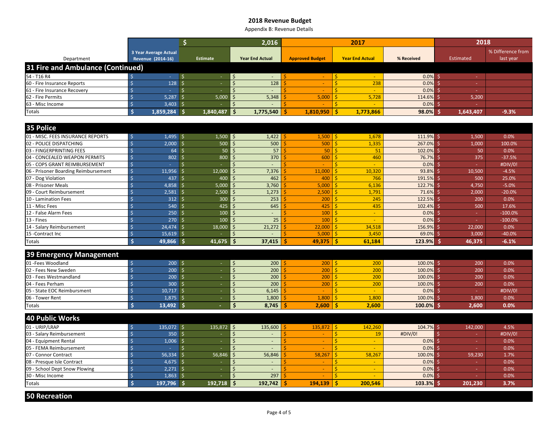Appendix B: Revenue Details

|                                      |                                                                                                         | \$                           | 2.016                                        |                          | 2017                   |              | 2018             |                   |
|--------------------------------------|---------------------------------------------------------------------------------------------------------|------------------------------|----------------------------------------------|--------------------------|------------------------|--------------|------------------|-------------------|
|                                      | <b>3 Year Average Actual</b>                                                                            |                              |                                              |                          |                        |              |                  | % Difference from |
| Department                           | Revenue (2014-16)                                                                                       | <b>Estimate</b>              | <b>Year End Actual</b>                       | <b>Approved Budget</b>   | <b>Year End Actual</b> | % Received   | <b>Estimated</b> | last year         |
| 31 Fire and Ambulance (Continued)    |                                                                                                         |                              |                                              |                          |                        |              |                  |                   |
| 54 - T16 R4                          | $\zeta$<br>$\Delta \phi$                                                                                | ∣ \$<br>$\sim$               | $\zeta$<br>$\sim$                            |                          | Ś.<br>a.               | $0.0\%$ \$   | $\sim$           |                   |
| 60 - Fire Insurance Reports          | Ŝ.<br>128                                                                                               | l \$<br>$\omega$             | $\mathsf{\dot{S}}$<br>128                    | $\sim$                   | Ś.<br>238              | 0.0%         | Ŝ.<br>ra l       |                   |
| 61 - Fire Insurance Recovery         | $\dot{\mathsf{S}}$<br>$\omega$                                                                          | \$<br>$\sim$                 | $\mathsf{\dot{S}}$<br>÷.                     |                          | Ŝ.<br>na.              | 0.0%         | Ŝ.<br>n an       |                   |
| 62 - Fire Permits                    | $\dot{\mathsf{S}}$<br>5,287                                                                             | \$<br>5,000                  | 5,348<br>$\varsigma$                         | 5,000                    | Ŝ.<br>5,728            | 114.6%       | Ŝ.<br>5,200      |                   |
| 63 - Misc Income                     | Ŝ.<br>3,403                                                                                             | S.<br>$\sim$                 | Ś                                            |                          | Ŝ.<br>÷.               | 0.0%         | Ŝ.<br>ч.         |                   |
| <b>Totals</b>                        | $\mathsf{S}$<br>1,859,284                                                                               | 1.840.487<br>Ŝ               | Ś.<br>1,775,540                              | 1,810,950                | Ŝ.<br>1,773,866        | 98.0%        | 1,643,407<br>♦   | $-9.3%$           |
|                                      |                                                                                                         |                              |                                              |                          |                        |              |                  |                   |
| 35 Police                            |                                                                                                         |                              |                                              |                          |                        |              |                  |                   |
| 01 - MISC. FEES INSURANCE REPORTS    | $1,495$ \$<br>Ŝ.                                                                                        |                              | $1.500$ $\overline{\phantom{a}}$ \$<br>1,422 | $1,500$   \$             | 1,678                  | $111.9%$ \$  | 1,500            | 0.0%              |
| 02 - POLICE DISPATCHING              | Ŝ.<br>$2.000$ \$                                                                                        | 500                          | 500<br>$\zeta$                               | 500                      | 1.335<br>Š.            | 267.0%       | 1.000            | 100.0%            |
| 03 - FINGERPRINTING FEES             | $\dot{\mathsf{S}}$<br>$64 \overline{\smash{\big)}\smash{\big)}\smash{\big\{\big\}}\smash{\big\{\big\}}$ |                              | 50<br>57<br>$\dot{\mathsf{S}}$               | 50                       | 51<br>Ŝ.               | 102.0%       | 50<br>-Ś         | 0.0%              |
| 04 - CONCEALED WEAPON PERMITS        | $\dot{\mathsf{S}}$<br>802 \$                                                                            | 800                          | 370<br>Ś                                     | 600                      | 460<br>Ŝ.              | 76.7%        | 375<br>Ŝ         | $-37.5%$          |
| 05 - COPS GRANT REIMBURSEMENT        | $\dot{\mathsf{S}}$<br>$\sim$                                                                            | Ŝ.<br>$\sim$                 | Ś<br>÷                                       | $\sim$                   | Ŝ.<br>$\sim$           | 0.0%         | ♦<br>$\sim$      | #DIV/0!           |
| 06 - Prisoner Boarding Reimbursement | $\dot{\mathsf{S}}$<br>11,956                                                                            | 12,000<br>l \$               | 7,376                                        | 11,000                   | 10,320<br>Ś            | 93.8%        | 10,500<br>Š.     | $-4.5%$           |
| 07 - Dog Violation                   | $\dot{\mathsf{S}}$<br>437                                                                               | Ŝ.<br>400                    | 462<br>Ś                                     | 400                      | 766<br>Ś               | 191.5%       | Ś<br>500         | 25.0%             |
| 08 - Prisoner Meals                  | $\dot{\mathsf{S}}$<br>4,858                                                                             | Ŝ.<br>5.000                  | 3,760                                        | 5,000                    | 6,136                  | 122.7%       | B<br>4,750       | $-5.0%$           |
| 09 - Court Reimbursement             | $\dot{\mathsf{S}}$<br>2,581                                                                             | Ŝ.<br>2,500                  | 1,273                                        | 2,500                    | 1,791                  | 71.6%        | $\zeta$<br>2,000 | $-20.0%$          |
| 10 - Lamination Fees                 | $\dot{\mathsf{S}}$<br>$312$ \$                                                                          | 300                          | 253                                          | 200                      | 245                    | 122.5%       | $\zeta$<br>200   | 0.0%              |
| 11 - Misc Fees                       | Ŝ.<br>540                                                                                               | 425<br><b>S</b>              | 645<br>$\zeta$                               | 425                      | 435<br>ς.              | 102.4%       | Ŝ.<br>500        | 17.6%             |
| 12 - False Alarm Fees                | $250$ \$<br>Ŝ.                                                                                          | 100                          |                                              | 100                      | ς.<br>$\omega$         | 0.0%         | Ŝ.<br>$\sim$     | $-100.0%$         |
| 13 - Fines                           | Ŝ.<br>270                                                                                               | 100<br>$\dot{\mathsf{s}}$    | 25<br>\$                                     | 100                      | K,<br>$\omega$         | 0.0%         | Ŝ.<br>ч.         | $-100.0%$         |
| 14 - Salary Reimbursement            | $24,474$ \$<br>Ŝ.                                                                                       | 18,000                       | 21,272                                       | 22,000                   | 34,518                 | 156.9%       | 22,000<br>Š.     | 0.0%              |
| 15 - Contract Inc                    | $\dot{\mathsf{S}}$<br>15,619                                                                            | $\dot{\mathsf{s}}$<br>$\sim$ | $\varsigma$                                  | 5,000                    | 3,450<br>Š.            | 69.0%        | -Ś.<br>3,000     | $-40.0%$          |
| Totals                               | $\dot{\mathsf{s}}$<br>49,866 \$                                                                         | 41,675                       | Ś<br>37,415                                  | 49,375                   | 61.184                 | 123.9%       | 46,375<br>Ŝ.     | $-6.1%$           |
|                                      |                                                                                                         |                              |                                              |                          |                        |              |                  |                   |
| <b>39 Emergency Management</b>       |                                                                                                         |                              |                                              |                          |                        |              |                  |                   |
| 01-Fees Woodland                     | $\zeta$<br>$200 \, \text{S}$                                                                            | $\sim$                       | 200<br>Ś                                     | 200<br>S.                | Ŝ.<br>200              | $100.0\%$ \$ | 200              | 0.0%              |
| 02 - Fees New Sweden                 | Ś<br>200                                                                                                | Ŝ.<br>$\sim$                 | \$<br>200                                    | 200                      | 200                    | 100.0%       | \$<br>200        | 0.0%              |
| 03 - Fees Westmandland               | Ś<br>200                                                                                                | Ŝ.<br>$\sim$                 | 200<br>Ś                                     | 200                      | 200                    | 100.0%       | Ś<br>200         | 0.0%              |
| 04 - Fees Perham                     | Ŝ.<br>300                                                                                               | Ŝ.<br>$\omega_{\rm c}$       | $\mathsf{S}$<br>200                          | 200                      | 200                    | 100.0%       | \$<br>200        | 0.0%              |
| 05 - State EOC Reimbursment          | $\dot{\mathsf{S}}$<br>10.717                                                                            | <b>S</b><br>$\sim$           | 6,145                                        |                          | ÷.                     | 0.0%         | Ś.<br>÷.         | #DIV/0!           |
| 06 - Tower Rent                      | $\dot{\mathsf{S}}$<br>1,875                                                                             | l \$<br>$\pm$                | Ś<br>1,800                                   | 1,800                    | 1,800                  | 100.0%       | 1,800            | 0.0%              |
| Totals                               | Ŝ.<br>$13,492$ \$                                                                                       | $\sim$                       | \$<br>8,745                                  | 2,600                    | Ś.<br>2,600            | $100.0\%$ \$ | 2,600            | 0.0%              |
| <b>40 Public Works</b>               |                                                                                                         |                              |                                              |                          |                        |              |                  |                   |
| 01 - URIP/LRAP                       | 135,072 \$<br>Ŝ.                                                                                        | 135,872                      | $\mathsf{\hat{S}}$<br>135,600                | 135,872                  | 142,260<br>I \$        | 104.7% \$    | 142,000          | 4.5%              |
| 03 - Salary Reimbursement            | $\dot{\mathsf{S}}$<br>$350$ \$                                                                          | $\sim$                       | \$                                           |                          | 19<br>Ś.               | #DIV/0!      | \$<br>realists.  | #DIV/0!           |
| 04 - Equipment Rental                | Ś<br>$1,006$ \$                                                                                         | $\sim$                       | Ś<br>$\sim$                                  | $\sim$                   | Ŝ<br>$\sim$            | 0.0%         | $\sim$           | 0.0%              |
| 05 - FEMA Reimbursement              | $\dot{\mathsf{S}}$<br>÷.                                                                                | \$<br>$\sim$                 |                                              |                          | Ś                      | $0.0\%$ \$   | $\sim$           | 0.0%              |
| 07 - Connor Contract                 | $\zeta$<br>56,334                                                                                       | \$<br>56,846                 | 56,846                                       | 58,267                   | 58,267                 | 100.0%       | 59,230           | 1.7%              |
| 08 - Presque Isle Contract           | $\zeta$<br>4,675                                                                                        | l \$<br>$\sim$               | Ś<br>٠                                       | $\overline{\phantom{a}}$ | ÷.                     | 0.0%         | ÷.               | 0.0%              |
| 09 - School Dept Snow Plowing        | $\dot{\mathsf{S}}$<br>$2,271$ \$                                                                        | $\sim$                       | $\zeta$                                      |                          | $\omega$               | 0.0%         | ×.               | 0.0%              |
| 30 - Misc Income                     | $\dot{\mathsf{S}}$<br>1,863                                                                             | Ŝ.<br>÷.                     | 297<br>Ś                                     |                          | ÷                      | 0.0%         |                  | 0.0%              |
| Totals                               | $\mathsf{S}$<br>197,796 \$                                                                              | 192,718                      | Ś<br>192,742                                 | 194,139                  | 200,546                | $103.3\%$ \$ | 201,230          | 3.7%              |
|                                      |                                                                                                         |                              |                                              |                          |                        |              |                  |                   |

**50 Recreation**